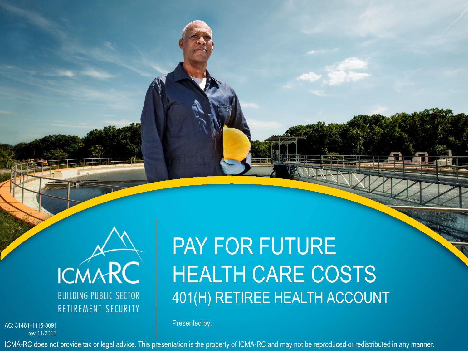

rev 11/2016

# PAY FOR FUTURE HEALTH CARE COSTS 401(H) RETIREE HEALTH ACCOUNT

Presented by: AC: 31461-1115-8091

ICMA-RC does not provide tax or legal advice. This presentation is the property of ICMA-RC and may not be reproduced or redistributed in any manner.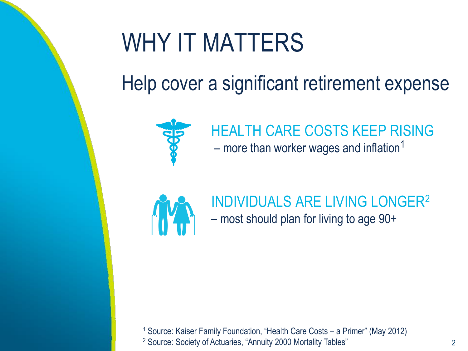# WHY IT MATTERS

## Help cover a significant retirement expense



## HEALTH CARE COSTS KEEP RISING – more than worker wages and inflation<sup>1</sup>



### INDIVIDUALS ARE LIVING LONGER<sup>2</sup> – most should plan for living to age 90+

<sup>1</sup> Source: Kaiser Family Foundation, "Health Care Costs – a Primer" (May 2012) <sup>2</sup> Source: Society of Actuaries, "Annuity 2000 Mortality Tables"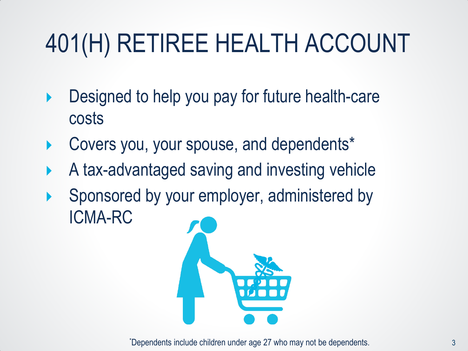# 401(H) RETIREE HEALTH ACCOUNT

- ▶ Designed to help you pay for future health-care costs
- Covers you, your spouse, and dependents\*
- A tax-advantaged saving and investing vehicle
- Sponsored by your employer, administered by ICMA-RC



\*Dependents include children under age 27 who may not be dependents.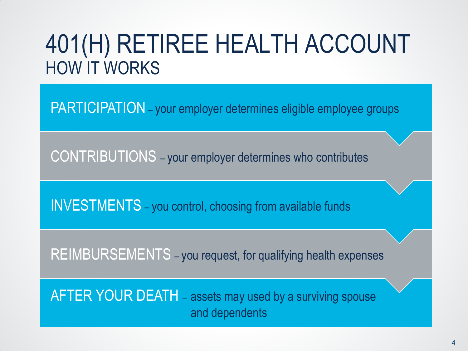## 401(H) RETIREE HEALTH ACCOUNT HOW IT WORKS

PARTICIPATION - your employer determines eligible employee groups

CONTRIBUTIONS – your employer determines who contributes

INVESTMENTS – you control, choosing from available funds

REIMBURSEMENTS – you request, for qualifying health expenses

AFTER YOUR DEATH – assets may used by a surviving spouse and dependents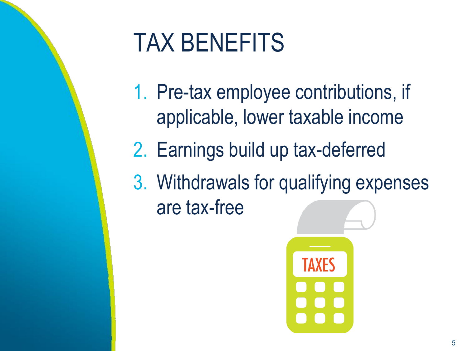# TAX BENEFITS

- 1. Pre-tax employee contributions, if applicable, lower taxable income
- 2. Earnings build up tax-deferred
- 3. Withdrawals for qualifying expenses are tax-free

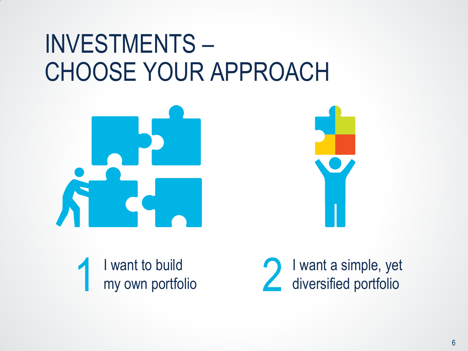# INVESTMENTS – CHOOSE YOUR APPROACH





I want to build my own portfolio

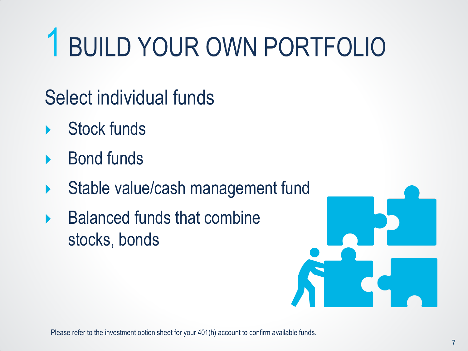# 1 BUILD YOUR OWN PORTFOLIO

- Select individual funds
- Stock funds
- Bond funds
- Stable value/cash management fund
- $\blacktriangleright$  Balanced funds that combine stocks, bonds



Please refer to the investment option sheet for your 401(h) account to confirm available funds.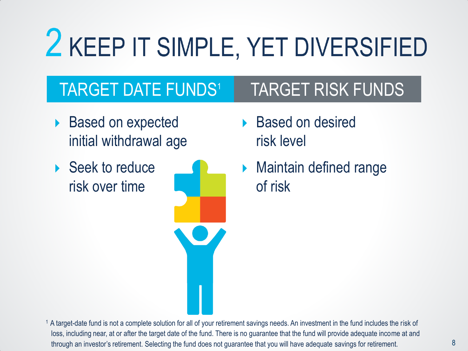# 2 KEEP IT SIMPLE, YET DIVERSIFIED

## TARGET DATE FUNDS<sup>1</sup> TARGET RISK FUNDS

- ▶ Based on expected initial withdrawal age
- ▶ Seek to reduce risk over time



- ▶ Based on desired risk level
- **Maintain defined range** of risk

<sup>1</sup> A target-date fund is not a complete solution for all of your retirement savings needs. An investment in the fund includes the risk of loss, including near, at or after the target date of the fund. There is no guarantee that the fund will provide adequate income at and through an investor's retirement. Selecting the fund does not guarantee that you will have adequate savings for retirement.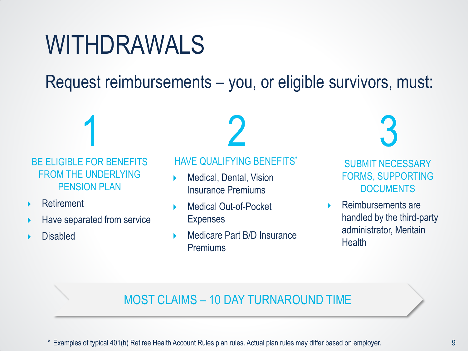# WITHDRAWALS

Request reimbursements – you, or eligible survivors, must:

BE ELIGIBLE FOR BENEFITS FROM THE UNDERLYING PENSION PLAN

- Retirement
- Have separated from service
- Disabled

HAVE QUALIFYING BENEFITS\*

- Medical, Dental, Vision Insurance Premiums
- Medical Out-of-Pocket Expenses
- Medicare Part B/D Insurance Premiums

**R** 

SUBMIT NECESSARY FORMS, SUPPORTING DOCUMENTS

 Reimbursements are handled by the third-party administrator, Meritain **Health** 

#### MOST CLAIMS – 10 DAY TURNAROUND TIME

\* Examples of typical 401(h) Retiree Health Account Rules plan rules. Actual plan rules may differ based on employer.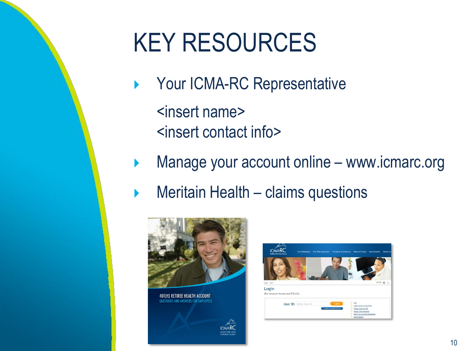# KEY RESOURCES

- ▶ Your ICMA-RC Representative <insert name> <insert contact info>
- **Manage your account online www.icmarc.org** 
	- Meritain Health claims questions